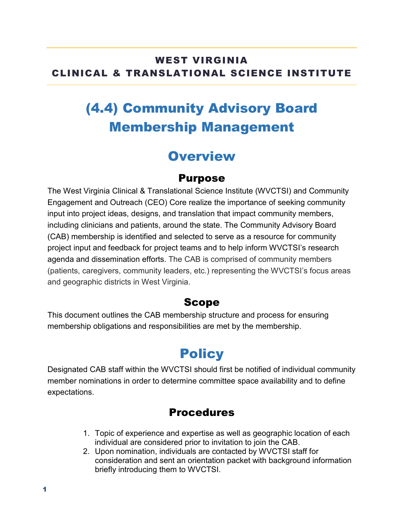### WEST VIRGINIA CLINICAL & TRANSLATIONAL SCIENCE INSTITUTE

# (4.4) Community Advisory Board Membership Management

## **Overview**

#### Purpose

The West Virginia Clinical & Translational Science Institute (WVCTSI) and Community Engagement and Outreach (CEO) Core realize the importance of seeking community input into project ideas, designs, and translation that impact community members, including clinicians and patients, around the state. The Community Advisory Board (CAB) membership is identified and selected to serve as a resource for community project input and feedback for project teams and to help inform WVCTSI's research agenda and dissemination efforts. The CAB is comprised of community members (patients, caregivers, community leaders, etc.) representing the WVCTSI's focus areas and geographic districts in West Virginia.

#### Scope

This document outlines the CAB membership structure and process for ensuring membership obligations and responsibilities are met by the membership.

## **Policy**

Designated CAB staff within the WVCTSI should first be notified of individual community member nominations in order to determine committee space availability and to define expectations.

### Procedures

- 1. Topic of experience and expertise as well as geographic location of each individual are considered prior to invitation to join the CAB.
- 2. Upon nomination, individuals are contacted by WVCTSI staff for consideration and sent an orientation packet with background information briefly introducing them to WVCTSI.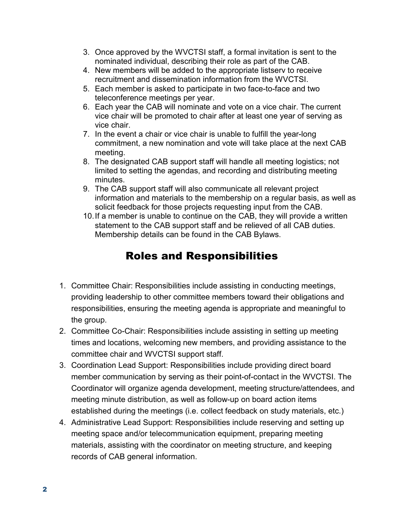- 3. Once approved by the WVCTSI staff, a formal invitation is sent to the nominated individual, describing their role as part of the CAB.
- 4. New members will be added to the appropriate listserv to receive recruitment and dissemination information from the WVCTSI.
- 5. Each member is asked to participate in two face-to-face and two teleconference meetings per year.
- 6. Each year the CAB will nominate and vote on a vice chair. The current vice chair will be promoted to chair after at least one year of serving as vice chair.
- 7. In the event a chair or vice chair is unable to fulfill the year-long commitment, a new nomination and vote will take place at the next CAB meeting.
- 8. The designated CAB support staff will handle all meeting logistics; not limited to setting the agendas, and recording and distributing meeting minutes.
- 9. The CAB support staff will also communicate all relevant project information and materials to the membership on a regular basis, as well as solicit feedback for those projects requesting input from the CAB.
- 10.If a member is unable to continue on the CAB, they will provide a written statement to the CAB support staff and be relieved of all CAB duties. Membership details can be found in the CAB Bylaws.

### Roles and Responsibilities

- 1. Committee Chair: Responsibilities include assisting in conducting meetings, providing leadership to other committee members toward their obligations and responsibilities, ensuring the meeting agenda is appropriate and meaningful to the group.
- 2. Committee Co-Chair: Responsibilities include assisting in setting up meeting times and locations, welcoming new members, and providing assistance to the committee chair and WVCTSI support staff.
- 3. Coordination Lead Support: Responsibilities include providing direct board member communication by serving as their point-of-contact in the WVCTSI. The Coordinator will organize agenda development, meeting structure/attendees, and meeting minute distribution, as well as follow-up on board action items established during the meetings (i.e. collect feedback on study materials, etc.)
- 4. Administrative Lead Support: Responsibilities include reserving and setting up meeting space and/or telecommunication equipment, preparing meeting materials, assisting with the coordinator on meeting structure, and keeping records of CAB general information.